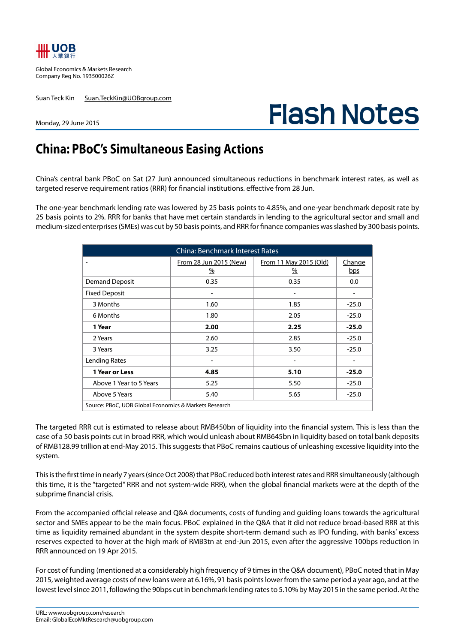

Global Economics & Markets Research Company Reg No. 193500026Z

Suan Teck Kin Suan.TeckKin@UOBgroup.com

# **Flash Notes**

#### Monday, 29 June 2015

# **China: PBoC's Simultaneous Easing Actions**

China's central bank PBoC on Sat (27 Jun) announced simultaneous reductions in benchmark interest rates, as well as targeted reserve requirement ratios (RRR) for financial institutions. effective from 28 Jun.

The one-year benchmark lending rate was lowered by 25 basis points to 4.85%, and one-year benchmark deposit rate by 25 basis points to 2%. RRR for banks that have met certain standards in lending to the agricultural sector and small and medium-sized enterprises (SMEs) was cut by 50 basis points, and RRR for finance companies was slashed by 300 basis points.

| <b>China: Benchmark Interest Rates</b>                |                             |                                         |               |  |  |  |  |  |
|-------------------------------------------------------|-----------------------------|-----------------------------------------|---------------|--|--|--|--|--|
|                                                       | From 28 Jun 2015 (New)<br>% | From 11 May 2015 (Old)<br>$\frac{9}{6}$ | Change<br>bps |  |  |  |  |  |
| <b>Demand Deposit</b>                                 | 0.35                        | 0.35                                    | 0.0           |  |  |  |  |  |
| <b>Fixed Deposit</b>                                  |                             |                                         |               |  |  |  |  |  |
| 3 Months                                              | 1.60                        | 1.85                                    | $-25.0$       |  |  |  |  |  |
| 6 Months                                              | 1.80                        | 2.05                                    | $-25.0$       |  |  |  |  |  |
| 1 Year                                                | 2.00                        | 2.25                                    | $-25.0$       |  |  |  |  |  |
| 2 Years                                               | 2.60                        | 2.85                                    | $-25.0$       |  |  |  |  |  |
| 3 Years                                               | 3.25                        | 3.50                                    | $-25.0$       |  |  |  |  |  |
| Lending Rates                                         |                             |                                         |               |  |  |  |  |  |
| 1 Year or Less                                        | 4.85                        | 5.10                                    | $-25.0$       |  |  |  |  |  |
| Above 1 Year to 5 Years                               | 5.25                        | 5.50                                    | $-25.0$       |  |  |  |  |  |
| Above 5 Years                                         | 5.40                        | 5.65                                    | $-25.0$       |  |  |  |  |  |
| Source: PBoC, UOB Global Economics & Markets Research |                             |                                         |               |  |  |  |  |  |

The targeted RRR cut is estimated to release about RMB450bn of liquidity into the financial system. This is less than the case of a 50 basis points cut in broad RRR, which would unleash about RMB645bn in liquidity based on total bank deposits of RMB128.99 trillion at end-May 2015. This suggests that PBoC remains cautious of unleashing excessive liquidity into the system.

This is the first time in nearly 7 years (since Oct 2008) that PBoC reduced both interest rates and RRR simultaneously (although this time, it is the "targeted" RRR and not system-wide RRR), when the global financial markets were at the depth of the subprime financial crisis.

From the accompanied official release and Q&A documents, costs of funding and guiding loans towards the agricultural sector and SMEs appear to be the main focus. PBoC explained in the Q&A that it did not reduce broad-based RRR at this time as liquidity remained abundant in the system despite short-term demand such as IPO funding, with banks' excess reserves expected to hover at the high mark of RMB3tn at end-Jun 2015, even after the aggressive 100bps reduction in RRR announced on 19 Apr 2015.

For cost of funding (mentioned at a considerably high frequency of 9 times in the Q&A document), PBoC noted that in May 2015, weighted average costs of new loans were at 6.16%, 91 basis points lower from the same period a year ago, and at the lowest level since 2011, following the 90bps cut in benchmark lending rates to 5.10% by May 2015 in the same period. At the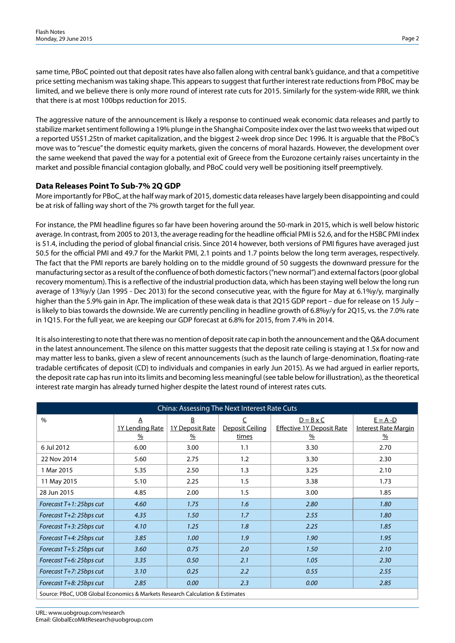same time, PBoC pointed out that deposit rates have also fallen along with central bank's guidance, and that a competitive price setting mechanism was taking shape. This appears to suggest that further interest rate reductions from PBoC may be limited, and we believe there is only more round of interest rate cuts for 2015. Similarly for the system-wide RRR, we think that there is at most 100bps reduction for 2015.

The aggressive nature of the announcement is likely a response to continued weak economic data releases and partly to stabilize market sentiment following a 19% plunge in the Shanghai Composite index over the last two weeks that wiped out a reported US\$1.25tn of market capitalization, and the biggest 2-week drop since Dec 1996. It is arguable that the PBoC's move was to "rescue" the domestic equity markets, given the concerns of moral hazards. However, the development over the same weekend that paved the way for a potential exit of Greece from the Eurozone certainly raises uncertainty in the market and possible financial contagion globally, and PBoC could very well be positioning itself preemptively.

# **Data Releases Point To Sub-7% 2Q GDP**

More importantly for PBoC, at the half way mark of 2015, domestic data releases have largely been disappointing and could be at risk of falling way short of the 7% growth target for the full year.

For instance, the PMI headline figures so far have been hovering around the 50-mark in 2015, which is well below historic average. In contrast, from 2005 to 2013, the average reading for the headline official PMI is 52.6, and for the HSBC PMI index is 51.4, including the period of global financial crisis. Since 2014 however, both versions of PMI figures have averaged just 50.5 for the official PMI and 49.7 for the Markit PMI, 2.1 points and 1.7 points below the long term averages, respectively. The fact that the PMI reports are barely holding on to the middle ground of 50 suggests the downward pressure for the manufacturing sector as a result of the confluence of both domestic factors ("new normal") and external factors (poor global recovery momentum). This is a reflective of the industrial production data, which has been staying well below the long run average of 13%y/y (Jan 1995 - Dec 2013) for the second consecutive year, with the figure for May at 6.1%y/y, marginally higher than the 5.9% gain in Apr. The implication of these weak data is that 2Q15 GDP report – due for release on 15 July – is likely to bias towards the downside. We are currently penciling in headline growth of 6.8%y/y for 2Q15, vs. the 7.0% rate in 1Q15. For the full year, we are keeping our GDP forecast at 6.8% for 2015, from 7.4% in 2014.

It is also interesting to note that there was no mention of deposit rate cap in both the announcement and the Q&A document in the latest announcement. The silence on this matter suggests that the deposit rate ceiling is staying at 1.5x for now and may matter less to banks, given a slew of recent announcements (such as the launch of large-denomination, floating-rate tradable certificates of deposit (CD) to individuals and companies in early Jun 2015). As we had argued in earlier reports, the deposit rate cap has run into its limits and becoming less meaningful (see table below for illustration), as the theoretical interest rate margin has already turned higher despite the latest round of interest rates cuts.

| China: Assessing The Next Interest Rate Cuts                                  |                                                    |                                                                     |                                                            |                                                                       |                                                             |  |  |  |  |
|-------------------------------------------------------------------------------|----------------------------------------------------|---------------------------------------------------------------------|------------------------------------------------------------|-----------------------------------------------------------------------|-------------------------------------------------------------|--|--|--|--|
| $\%$                                                                          | $\overline{A}$<br>1Y Lending Rate<br>$\frac{9}{6}$ | $\underline{\mathsf{B}}$<br><b>1Y Deposit Rate</b><br>$\frac{9}{6}$ | $\overline{\mathsf{C}}$<br>Deposit Ceiling<br><u>times</u> | $D = B \times C$<br><b>Effective 1Y Deposit Rate</b><br>$\frac{9}{6}$ | $E = A - D$<br><b>Interest Rate Margin</b><br>$\frac{9}{6}$ |  |  |  |  |
| 6 Jul 2012                                                                    | 6.00                                               | 3.00                                                                | 1.1                                                        | 3.30                                                                  | 2.70                                                        |  |  |  |  |
| 22 Nov 2014                                                                   | 5.60                                               | 2.75                                                                | 1.2                                                        | 3.30                                                                  | 2.30                                                        |  |  |  |  |
| 1 Mar 2015                                                                    | 5.35                                               | 2.50                                                                | 1.3                                                        | 3.25                                                                  | 2.10                                                        |  |  |  |  |
| 11 May 2015                                                                   | 5.10                                               | 2.25                                                                | 1.5                                                        | 3.38                                                                  | 1.73                                                        |  |  |  |  |
| 28 Jun 2015                                                                   | 4.85                                               | 2.00                                                                | 1.5                                                        | 3.00                                                                  | 1.85                                                        |  |  |  |  |
| Forecast T+1: 25bps cut                                                       | 4.60                                               | 1.75                                                                | 1.6                                                        | 2.80                                                                  | 1.80                                                        |  |  |  |  |
| Forecast T+2: 25bps cut                                                       | 4.35                                               | 1.50                                                                | 1.7                                                        | 2.55                                                                  | 1.80                                                        |  |  |  |  |
| Forecast T+3: 25bps cut                                                       | 4.10                                               | 1.25                                                                | 1.8                                                        | 2.25                                                                  | 1.85                                                        |  |  |  |  |
| Forecast T+4: 25bps cut                                                       | 3.85                                               | 1.00                                                                | 1.9                                                        | 1.90                                                                  | 1.95                                                        |  |  |  |  |
| Forecast T+5: 25bps cut                                                       | 3.60                                               | 0.75                                                                | 2.0                                                        | 1.50                                                                  | 2.10                                                        |  |  |  |  |
| Forecast T+6: 25bps cut                                                       | 3.35                                               | 0.50                                                                | 2.1                                                        | 1.05                                                                  | 2.30                                                        |  |  |  |  |
| Forecast T+7: 25bps cut                                                       | 3.10                                               | 0.25                                                                | 2.2                                                        | 0.55                                                                  | 2.55                                                        |  |  |  |  |
| Forecast T+8: 25bps cut                                                       | 2.85                                               | 0.00                                                                | 2.3                                                        | 0.00                                                                  | 2.85                                                        |  |  |  |  |
| Source: PBoC, UOB Global Economics & Markets Research Calculation & Estimates |                                                    |                                                                     |                                                            |                                                                       |                                                             |  |  |  |  |